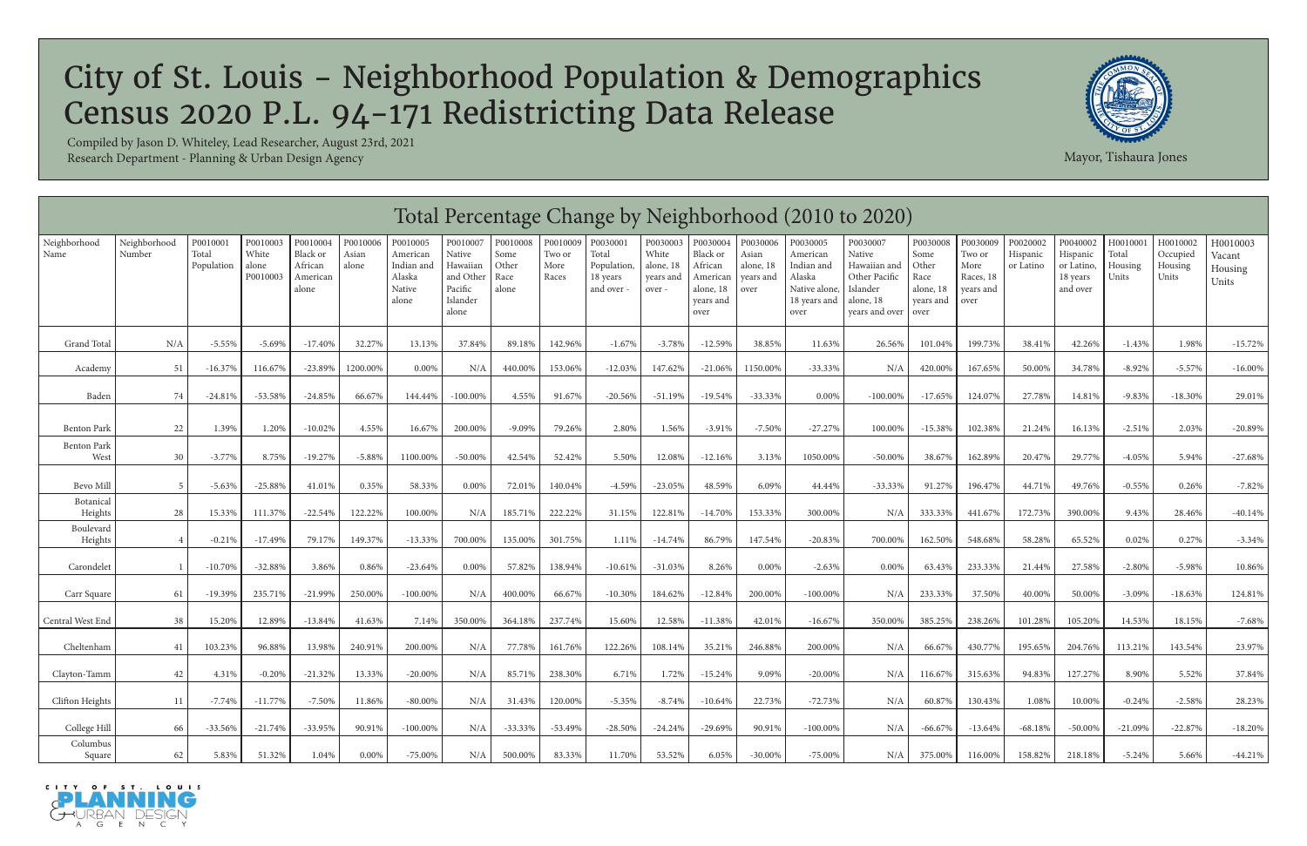|                            |                        |                                 |                                        |                                                      |                            |                                                                 |                                                                             |                                            |                                     |                                                            |                                                       |                                                                               |                                                     |                                                                                       | Total Percentage Change by Neighborhood (2010 to 2020)                                         |                                                                     |                                                              |                                   |                                                            |                                       |                                          |                                        |
|----------------------------|------------------------|---------------------------------|----------------------------------------|------------------------------------------------------|----------------------------|-----------------------------------------------------------------|-----------------------------------------------------------------------------|--------------------------------------------|-------------------------------------|------------------------------------------------------------|-------------------------------------------------------|-------------------------------------------------------------------------------|-----------------------------------------------------|---------------------------------------------------------------------------------------|------------------------------------------------------------------------------------------------|---------------------------------------------------------------------|--------------------------------------------------------------|-----------------------------------|------------------------------------------------------------|---------------------------------------|------------------------------------------|----------------------------------------|
| Neighborhood<br>Name       | Neighborhood<br>Number | P0010001<br>Total<br>Population | P0010003<br>White<br>alone<br>P0010003 | P0010004<br>Black or<br>African<br>American<br>alone | P0010006<br>Asian<br>alone | P0010005<br>American<br>Indian and<br>Alaska<br>Native<br>alone | P0010007<br>Native<br>Hawaiian<br>and Other<br>Pacific<br>Islander<br>alone | P0010008<br>Some<br>Other<br>Race<br>alone | P0010009<br>Two or<br>More<br>Races | P0030001<br>Total<br>Population,<br>18 years<br>and over - | P0030003<br>White<br>alone, 18<br>years and<br>over - | P0030004<br>Black or<br>African<br>American<br>alone, 18<br>years and<br>over | P0030006<br>Asian<br>alone, 18<br>years and<br>over | P0030005<br>American<br>Indian and<br>Alaska<br>Native alone,<br>18 years and<br>over | P0030007<br>Native<br>Hawaiian and<br>Other Pacific<br>Islander<br>alone, 18<br>vears and over | P0030008<br>Some<br>Other<br>Race<br>alone, 18<br>vears and<br>over | P0030009<br>Two or<br>More<br>Races, 18<br>years and<br>over | P0020002<br>Hispanic<br>or Latino | P0040002<br>Hispanic<br>or Latino,<br>18 years<br>and over | H0010001<br>Total<br>Housing<br>Units | H0010002<br>Occupied<br>Housing<br>Units | H0010003<br>Vacant<br>Housing<br>Units |
| Grand Total                | N/A                    | $-5.55%$                        | $-5.69%$                               | $-17.40%$                                            | 32.27%                     | 13.13%                                                          | 37.84%                                                                      | 89.18%                                     | 142.96%                             | $-1.67%$                                                   | $-3.78%$                                              | $-12.59%$                                                                     | 38.85%                                              | 11.63%                                                                                | 26.56%                                                                                         | 101.04%                                                             | 199.73%                                                      | 38.41%                            | 42.26%                                                     | $-1.43%$                              | 1.98%                                    | $-15.72%$                              |
| Academy                    | 51                     | $-16.37%$                       | 116.67%                                | $-23.89%$                                            | 1200.00%                   | 0.00%                                                           | N/A                                                                         | 440.00%                                    | 153.06%                             | $-12.03%$                                                  | 147.62%                                               | $-21.06%$                                                                     | 1150.00%                                            | $-33.33%$                                                                             | N/A                                                                                            | 420.00%                                                             | 167.65%                                                      | 50.00%                            | 34.78%                                                     | $-8.92%$                              | $-5.57%$                                 | $-16.00\%$                             |
| Baden                      | 74                     | $-24.81%$                       | -53.58%                                | $-24.85%$                                            | 66.67%                     | 144.44%                                                         | $-100.00\%$                                                                 | 4.55%                                      | 91.67%                              | $-20.56%$                                                  | $-51.19%$                                             | $-19.54%$                                                                     | $-33.33%$                                           | 0.00%                                                                                 | $-100.00\%$                                                                                    | $-17.65%$                                                           | 124.07%                                                      | 27.78%                            | 14.81%                                                     | $-9.83%$                              | $-18.30%$                                | 29.01%                                 |
| <b>Benton Park</b>         | 22                     | 1.39%                           | 1.20%                                  | $-10.02\%$                                           | 4.55%                      | 16.67%                                                          | 200.00%                                                                     | $-9.09%$                                   | 79.26%                              | 2.80%                                                      | 1.56%                                                 | $-3.91%$                                                                      | $-7.50%$                                            | $-27.27%$                                                                             | 100.00%                                                                                        | $-15.38%$                                                           | 102.38%                                                      | 21.24%                            | 16.13%                                                     | $-2.51%$                              | 2.03%                                    | $-20.89%$                              |
| <b>Benton Park</b><br>West | 30                     | $-3.77\%$                       | 8.75%                                  | $-19.27%$                                            | $-5.88%$                   | 1100.00%                                                        | $-50.00\%$                                                                  | 42.54%                                     | 52.42%                              | 5.50%                                                      | 12.08%                                                | $-12.16%$                                                                     | 3.13%                                               | 1050.00%                                                                              | $-50.00\%$                                                                                     | 38.67%                                                              | 162.89%                                                      | 20.47%                            | 29.77%                                                     | $-4.05%$                              | 5.94%                                    | $-27.68%$                              |
| Bevo Mill                  |                        | $-5.63%$                        | $-25.88%$                              | 41.01%                                               | 0.35%                      | 58.33%                                                          | 0.00%                                                                       | 72.01%                                     | 140.04%                             | $-4.59%$                                                   | $-23.05%$                                             | 48.59%                                                                        | 6.09%                                               | 44.44%                                                                                | $-33.33\%$                                                                                     | 91.27%                                                              | 196.47%                                                      | 44.71%                            | 49.76%                                                     | $-0.55%$                              | 0.26%                                    | $-7.82%$                               |
| Botanical<br>Heights       | 28                     | 15.33%                          | 111.37%                                | $-22.54%$                                            | 122.22%                    | 100.00%                                                         | N/A                                                                         | 185.71%                                    | 222.22%                             | 31.15%                                                     | 122.81%                                               | $-14.70%$                                                                     | 153.33%                                             | 300.00%                                                                               | N/A                                                                                            | 333.33%                                                             | 441.67%                                                      | 172.73%                           | 390.00%                                                    | 9.43%                                 | 28.46%                                   | $-40.14%$                              |
| Boulevard<br>Heights       |                        | $-0.21%$                        | $-17.49%$                              | 79.17%                                               | 149.37%                    | $-13.33%$                                                       | 700.00%                                                                     | 135.00%                                    | 301.75%                             | 1.11%                                                      | $-14.74%$                                             | 86.79%                                                                        | 147.54%                                             | $-20.83%$                                                                             | 700.00%                                                                                        | 162.50%                                                             | 548.68%                                                      | 58.28%                            | 65.52%                                                     | 0.02%                                 | 0.27%                                    | $-3.34%$                               |
| Carondelet                 |                        | $-10.70%$                       | $-32.88%$                              | 3.86%                                                | 0.86%                      | $-23.64\%$                                                      | 0.00%                                                                       | 57.82%                                     | 138.94%                             | $-10.61%$                                                  | $-31.03%$                                             | 8.26%                                                                         | $0.00\%$                                            | $-2.63%$                                                                              | $0.00\%$                                                                                       | 63.43%                                                              | 233.33%                                                      | 21.44%                            | 27.58%                                                     | $-2.80%$                              | $-5.98%$                                 | 10.86%                                 |
| Carr Square                | 61                     | $-19.39%$                       | 235.71%                                | $-21.99%$                                            | 250.00%                    | $-100.00\%$                                                     | N/A                                                                         | 400.00%                                    | 66.67%                              | $-10.30%$                                                  | 184.62%                                               | $-12.84%$                                                                     | 200.00%                                             | $-100.00\%$                                                                           | N/A                                                                                            | 233.33%                                                             | 37.50%                                                       | 40.00%                            | 50.00%                                                     | $-3.09%$                              | $-18.63%$                                | 124.81%                                |
| Central West End           | 38                     | 15.20%                          | 12.89%                                 | $-13.84%$                                            | 41.63%                     | 7.14%                                                           | 350.00%                                                                     | 364.18%                                    | 237.74%                             | 15.60%                                                     | 12.58%                                                | $-11.38%$                                                                     | 42.01%                                              | $-16.67%$                                                                             | 350.00%                                                                                        | 385.25%                                                             | 238.26%                                                      | 101.28%                           | 105.20%                                                    | 14.53%                                | 18.15%                                   | $-7.68%$                               |
| Cheltenham                 | 41                     | 103.23%                         | 96.88%                                 | 13.98%                                               | 240.91%                    | 200.00%                                                         | N/A                                                                         | 77.78%                                     | 161.76%                             | 122.26%                                                    | 108.14%                                               | 35.21%                                                                        | 246.88%                                             | 200.00%                                                                               | N/A                                                                                            | 66.67%                                                              | 430.77%                                                      | 195.65%                           | 204.76%                                                    | 113.21%                               | 143.54%                                  | 23.97%                                 |
| Clayton-Tamm               | 42                     | 4.31%                           | $-0.20%$                               | $-21.32%$                                            | 13.33%                     | $-20.00\%$                                                      | N/A                                                                         | 85.71%                                     | 238.30%                             | 6.71%                                                      | 1.72%                                                 | $-15.24%$                                                                     | 9.09%                                               | $-20.00%$                                                                             | N/A                                                                                            | 116.67%                                                             | 315.63%                                                      | 94.83%                            | 127.27%                                                    | 8.90%                                 | 5.52%                                    | 37.84%                                 |
| Clifton Heights            | 11                     | $-7.74%$                        | $-11.77%$                              | $-7.50%$                                             | 11.86%                     | $-80.00\%$                                                      | N/A                                                                         | 31.43%                                     | 120.00%                             | $-5.35%$                                                   | $-8.74%$                                              | $-10.64%$                                                                     | 22.73%                                              | $-72.73%$                                                                             | N/A                                                                                            | 60.87%                                                              | 130.43%                                                      | 1.08%                             | 10.00%                                                     | $-0.24%$                              | $-2.58%$                                 | 28.23%                                 |
| College Hill               | 66                     | $-33.56\%$                      | -21.74%                                | $-33.95%$                                            | 90.91%                     | $-100.00\%$                                                     | N/A                                                                         | $-33.33\%$                                 | -53.49%                             | $-28.50%$                                                  | $-24.24%$                                             | $-29.69%$                                                                     | 90.91%                                              | $-100.00\%$                                                                           | N/A                                                                                            | $-66.67\%$                                                          | $-13.64%$                                                    | $-68.18%$                         | $-50.00\%$                                                 | $-21.09%$                             | $-22.87%$                                | $-18.20%$                              |
| Columbus<br>Square         | 62                     | 5.83%                           | 51.32%                                 | 1.04%                                                | 0.00%                      | $-75.00\%$                                                      | N/A                                                                         | 500.00%                                    | 83.33%                              | 11.70%                                                     | 53.52%                                                | 6.05%                                                                         | $-30.00\%$                                          | $-75.00\%$                                                                            | N/A                                                                                            | 375.00%                                                             | 116.00%                                                      | 158.82%                           | 218.18%                                                    | $-5.24%$                              | 5.66%                                    | $-44.21%$                              |





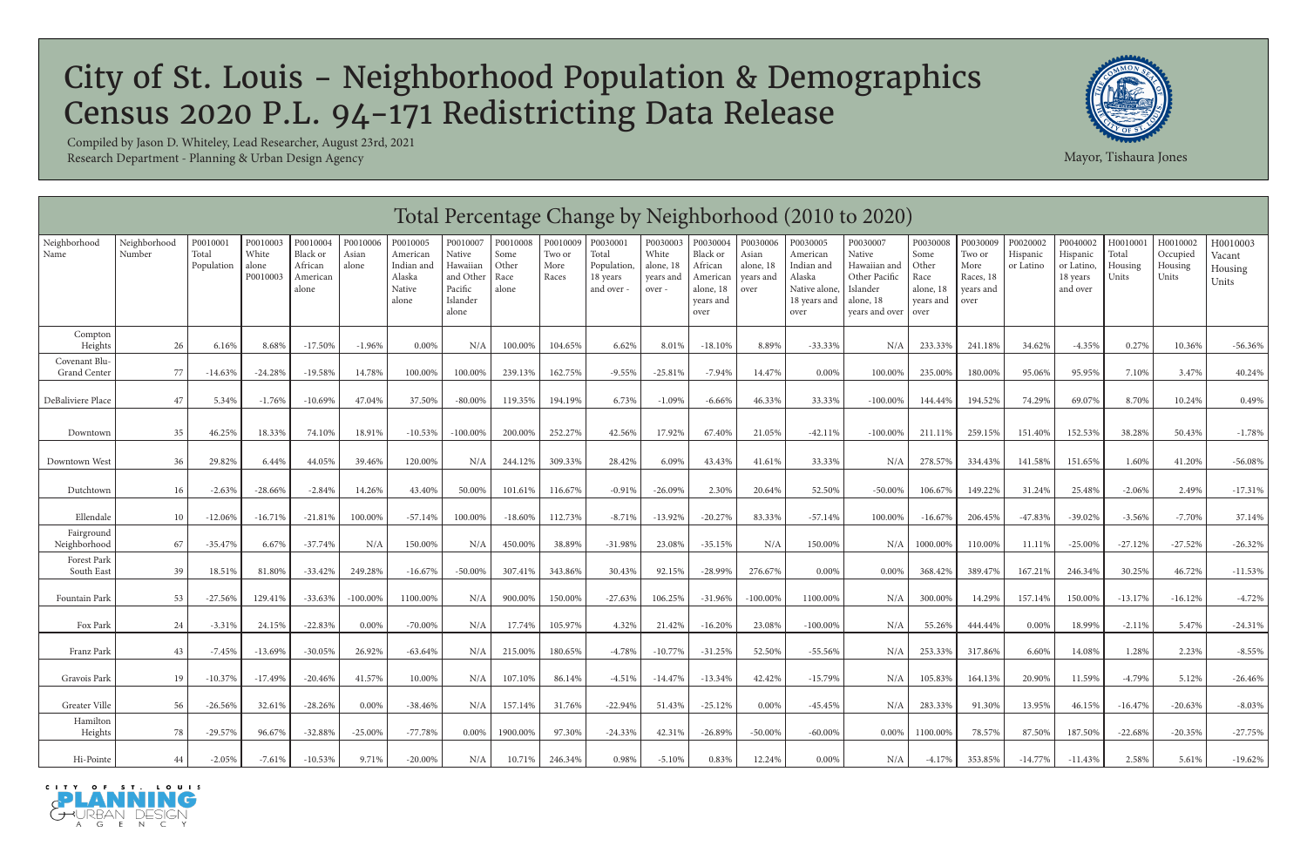|                               | Total Percentage Change by Neighborhood (2010 to 2020)<br>Neighborhood<br>P0010009<br>P0010003<br>P0010004<br>P0010006<br>P0010005<br>P0010007<br>P0010008<br>P0030001<br>P0030003<br>P0030004<br>P0030006<br>P0030005<br>P0030009<br>P0020002<br>P0040002<br>H0010001<br>H0010002<br>P0010001<br>P0030007<br>P0030008<br>H0010003 |                     |                            |                                          |                |                                                     |                                                                       |                                |                         |                                               |                                           |                                                                   |                                         |                                                                           |                                                                                    |                                                         |                                                  |                       |                                                |                           |                              |                            |
|-------------------------------|------------------------------------------------------------------------------------------------------------------------------------------------------------------------------------------------------------------------------------------------------------------------------------------------------------------------------------|---------------------|----------------------------|------------------------------------------|----------------|-----------------------------------------------------|-----------------------------------------------------------------------|--------------------------------|-------------------------|-----------------------------------------------|-------------------------------------------|-------------------------------------------------------------------|-----------------------------------------|---------------------------------------------------------------------------|------------------------------------------------------------------------------------|---------------------------------------------------------|--------------------------------------------------|-----------------------|------------------------------------------------|---------------------------|------------------------------|----------------------------|
| Neighborhood<br>Name          | Number                                                                                                                                                                                                                                                                                                                             | Total<br>Population | White<br>alone<br>P0010003 | Black or<br>African<br>American<br>alone | Asian<br>alone | American<br>Indian and<br>Alaska<br>Native<br>alone | $\rm Native$<br>Hawaiian<br>and Other<br>Pacific<br>Islander<br>alone | Some<br>Other<br>Race<br>alone | Two or<br>More<br>Races | Total<br>Population<br>18 years<br>and over - | White<br>alone, 18<br>years and<br>over - | Black or<br>African<br>American<br>alone, 18<br>years and<br>over | Asian<br>alone, 18<br>years and<br>over | American<br>Indian and<br>Alaska<br>Native alone,<br>18 years and<br>over | Native<br>Hawaiian and<br>Other Pacific<br>Islander<br>alone, 18<br>years and over | Some<br>Other<br>Race<br>alone, 18<br>years and<br>over | Two or<br>More<br>Races, 18<br>years and<br>over | Hispanic<br>or Latino | Hispanic<br>or Latino,<br>18 years<br>and over | Total<br>Housing<br>Units | Occupied<br>Housing<br>Units | Vacant<br>Housing<br>Units |
| Compton<br>Heights            | 26                                                                                                                                                                                                                                                                                                                                 | 6.16%               | 8.68%                      | $-17.50\%$                               | $-1.96%$       | $0.00\%$                                            | N/A                                                                   | 100.00%                        | 104.65%                 | 6.62%                                         | $8.01\%$                                  | $-18.10%$                                                         | 8.89%                                   | $-33.33%$                                                                 | N/A                                                                                | 233.33%                                                 | 241.189                                          | 34.62%                | $-4.35%$                                       | 0.27%                     | 10.36%                       | $-56.36%$                  |
| Covenant Blu-<br>Grand Center | 77                                                                                                                                                                                                                                                                                                                                 | $-14.63%$           | $-24.28%$                  | $-19.58%$                                | 14.78%         | 100.00%                                             | 100.00%                                                               | 239.13%                        | 162.75%                 | $-9.55%$                                      | $-25.81%$                                 | $-7.94%$                                                          | 14.47%                                  | $0.00\%$                                                                  | 100.00%                                                                            | 235.00%                                                 | 180.00%                                          | 95.06%                | 95.95%                                         | 7.10%                     | 3.47%                        | 40.24%                     |
| DeBaliviere Place             | 47                                                                                                                                                                                                                                                                                                                                 | 5.34%               | $-1.76%$                   | $-10.69%$                                | 47.04%         | 37.50%                                              | $-80.00\%$                                                            | 119.35%                        | 194.19%                 | 6.73%                                         | $-1.09%$                                  | $-6.66\%$                                                         | 46.33%                                  | 33.33%                                                                    | $-100.00\%$                                                                        | 144.44%                                                 | 194.52%                                          | 74.29%                | 69.07%                                         | 8.70%                     | 10.24%                       | 0.49%                      |
| Downtown                      | 35                                                                                                                                                                                                                                                                                                                                 | 46.25%              | 18.33%                     | 74.10%                                   | 18.91%         | $-10.53%$                                           | $-100.00\%$                                                           | 200.00%                        | 252.27%                 | 42.56%                                        | 17.92%                                    | 67.40%                                                            | 21.05%                                  | $-42.11%$                                                                 | $-100.00\%$                                                                        | 211.11%                                                 | 259.15%                                          | 151.40%               | 152.53%                                        | 38.28%                    | 50.43%                       | $-1.78%$                   |
| Downtown West                 | 36                                                                                                                                                                                                                                                                                                                                 | 29.82%              | 6.44%                      | 44.05%                                   | 39.46%         | 120.00%                                             | N/A                                                                   | 244.12%                        | 309.33%                 | 28.42%                                        | 6.09%                                     | 43.43%                                                            | 41.61%                                  | 33.33%                                                                    | N/A                                                                                | 278.57%                                                 | 334.43%                                          | 141.58%               | 151.65%                                        | 1.60%                     | 41.20%                       | $-56.08%$                  |
| Dutchtown                     | 16                                                                                                                                                                                                                                                                                                                                 | $-2.63%$            | $-28.66\%$                 | $-2.84\%$                                | 14.26%         | 43.40%                                              | 50.00%                                                                | 101.61%                        | 116.67%                 | $-0.91%$                                      | $-26.09%$                                 | 2.30%                                                             | 20.64%                                  | 52.50%                                                                    | -50.00%                                                                            | 106.67%                                                 | 149.22%                                          | 31.24%                | 25.48%                                         | $-2.06%$                  | 2.49%                        | $-17.31%$                  |
| Ellendale                     | 10                                                                                                                                                                                                                                                                                                                                 | $-12.06%$           | $-16.71%$                  | $-21.81%$                                | 100.00%        | $-57.14%$                                           | 100.00%                                                               | $-18.60\%$                     | 112.73%                 | $-8.71%$                                      | $-13.92%$                                 | $-20.27%$                                                         | 83.33%                                  | $-57.14%$                                                                 | 100.00%                                                                            | $-16.67%$                                               | 206.45%                                          | $-47.83%$             | $-39.02%$                                      | $-3.56%$                  | $-7.70%$                     | 37.14%                     |
| Fairground<br>Neighborhood    | 67                                                                                                                                                                                                                                                                                                                                 | $-35.47%$           | 6.67%                      | $-37.74%$                                | N/A            | 150.00%                                             | N/A                                                                   | 450.00%                        | 38.89%                  | $-31.98%$                                     | 23.08%                                    | $-35.15%$                                                         | N/A                                     | 150.00%                                                                   | N/A                                                                                | 1000.00%                                                | 110.00%                                          | 11.11%                | $-25.00%$                                      | $-27.12%$                 | $-27.52%$                    | $-26.32%$                  |
| Forest Park<br>South East     | 39                                                                                                                                                                                                                                                                                                                                 | 18.51%              | 81.80%                     | $-33.42\%$                               | 249.28%        | $-16.67%$                                           | $-50.00\%$                                                            | 307.41%                        | 343.86%                 | 30.43%                                        | 92.15%                                    | $-28.99\%$                                                        | 276.67%                                 | 0.00%                                                                     | $0.00\%$                                                                           | 368.42%                                                 | 389.47%                                          | 167.21%               | 246.34%                                        | 30.25%                    | 46.72%                       | $-11.53%$                  |
| Fountain Park                 | 53                                                                                                                                                                                                                                                                                                                                 | $-27.56%$           | 129.41%                    | $-33.63\%$                               | $-100.00\%$    | 1100.00%                                            | N/A                                                                   | 900.00%                        | 150.00%                 | $-27.63%$                                     | 106.25%                                   | $-31.96%$                                                         | $-100.00\%$                             | 1100.00%                                                                  | N/A                                                                                | 300.00%                                                 | 14.29%                                           | 157.14%               | 150.00%                                        | $-13.17%$                 | $-16.12%$                    | $-4.72%$                   |
| Fox Park                      | 24                                                                                                                                                                                                                                                                                                                                 | $-3.31%$            | 24.15%                     | $-22.83%$                                | 0.00%          | $-70.00\%$                                          | N/A                                                                   | 17.74%                         | 105.97%                 | 4.32%                                         | 21.42%                                    | $-16.20%$                                                         | 23.08%                                  | $-100.00\%$                                                               | N/A                                                                                | 55.26%                                                  | 444.44%                                          | $0.00\%$              | 18.99%                                         | $-2.11%$                  | 5.47%                        | $-24.31%$                  |
| Franz Park                    | 43                                                                                                                                                                                                                                                                                                                                 | $-7.45%$            | $-13.69%$                  | $-30.05%$                                | 26.92%         | $-63.64%$                                           | N/A                                                                   | 215.00%                        | 180.65%                 | $-4.78%$                                      | $-10.77%$                                 | $-31.25%$                                                         | 52.50%                                  | $-55.56%$                                                                 | N/A                                                                                | 253.33%                                                 | 317.86%                                          | 6.60%                 | 14.08%                                         | 1.28%                     | 2.23%                        | $-8.55%$                   |
| Gravois Park                  | 19                                                                                                                                                                                                                                                                                                                                 | $-10.37%$           | -17.49%                    | $-20.46\%$                               | 41.57%         | 10.00%                                              | N/A                                                                   | 107.10%                        | 86.14%                  | $-4.51%$                                      | $-14.47%$                                 | $-13.34\%$                                                        | 42.42%                                  | $-15.79%$                                                                 | N/A                                                                                | 105.83%                                                 | 164.13%                                          | 20.90%                | 11.59%                                         | $-4.79%$                  | 5.12%                        | $-26.46%$                  |
| Greater Ville                 | 56                                                                                                                                                                                                                                                                                                                                 | $-26.56%$           | 32.61%                     | $-28.26%$                                | 0.00%          | $-38.46%$                                           | N/A                                                                   | 157.14%                        | 31.76%                  | $-22.94%$                                     | 51.43%                                    | $-25.12%$                                                         | 0.00%                                   | $-45.45%$                                                                 | N/A                                                                                | 283.33%                                                 | 91.30%                                           | 13.95%                | 46.15%                                         | $-16.47%$                 | $-20.63%$                    | $-8.03%$                   |
| Hamilton<br>Heights           | 78                                                                                                                                                                                                                                                                                                                                 | $-29.57%$           | 96.67%                     | $-32.88%$                                | $-25.00\%$     | -77.78%                                             | $0.00\%$                                                              | 1900.00%                       | 97.30%                  | $-24.33%$                                     | 42.31%                                    | $-26.89%$                                                         | $-50.00\%$                              | $-60.00\%$                                                                | $0.00\%$                                                                           | 1100.00%                                                | 78.57%                                           | 87.50%                | 187.50%                                        | $-22.68%$                 | $-20.35%$                    | $-27.75%$                  |
| Hi-Pointe                     | 44                                                                                                                                                                                                                                                                                                                                 | $-2.05%$            | $-7.61%$                   | $-10.53%$                                | 9.71%          | $-20.00\%$                                          | N/A                                                                   | 10.71%                         | 246.34%                 | 0.98%                                         | $-5.10%$                                  | 0.83%                                                             | 12.24%                                  | 0.00%                                                                     | N/A                                                                                | $-4.17\%$                                               | 353.85%                                          | $-14.77\%$            | $-11.43%$                                      | 2.58%                     | 5.61%                        | $-19.62%$                  |





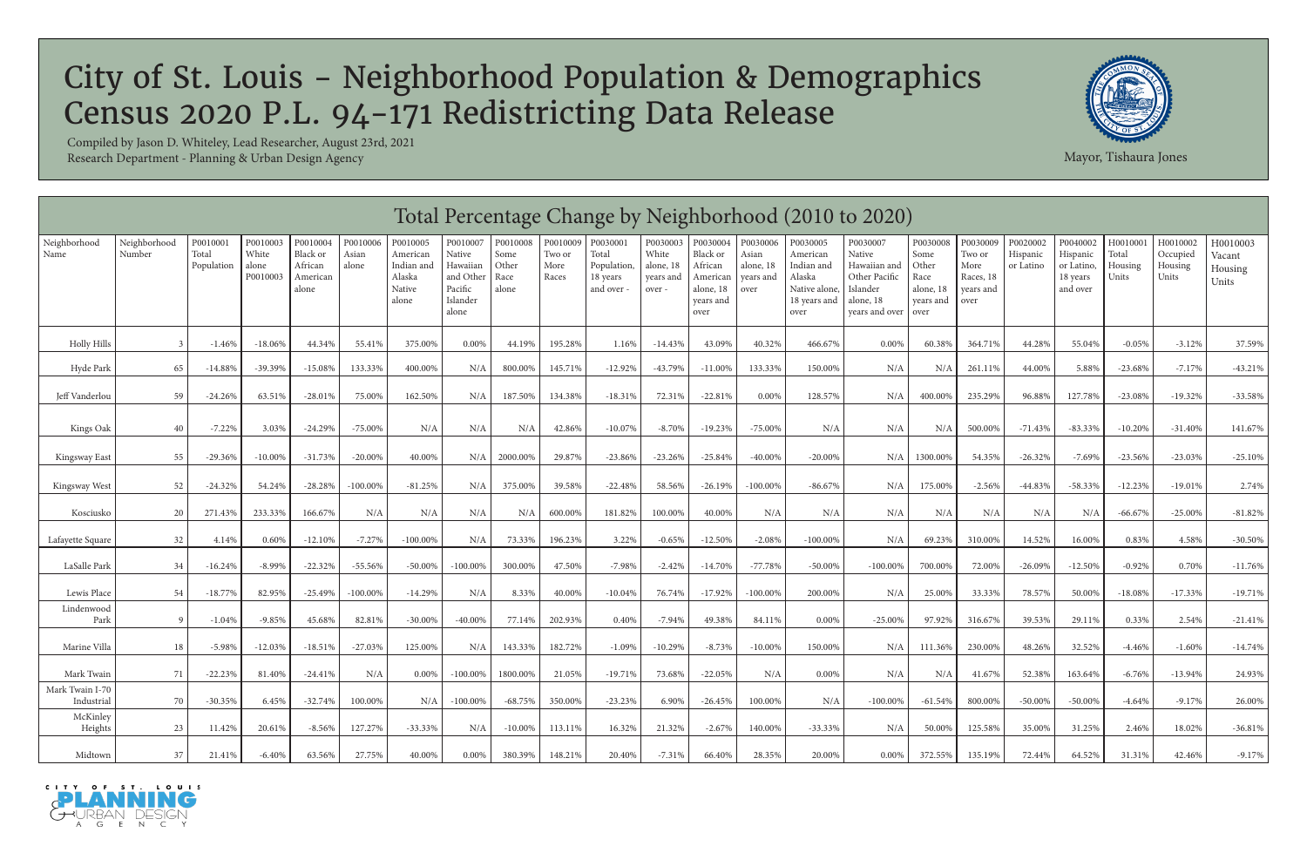|                               | Total Percentage Change by Neighborhood (2010 to 2020)<br>Neighborhood<br>P0010004<br>P0010006<br>P0010008<br>P0010009<br>P0030001<br>P0030003<br>P0020002<br>H0010001<br>P0010001<br>P0010003<br>P0010005<br>P0010007<br>P0030004<br>P0030006<br>P0030005<br>P0030007<br>P0030008<br>P0030009<br>P0040002<br>H0010002<br>H0010003 |                     |                            |                                          |                |                                                     |                                                                 |                                |                         |                                             |                                          |                                                                   |                                         |                                                                           |                                                                                           |                                                        |                                                  |                       |                                                |                           |                              |                            |
|-------------------------------|------------------------------------------------------------------------------------------------------------------------------------------------------------------------------------------------------------------------------------------------------------------------------------------------------------------------------------|---------------------|----------------------------|------------------------------------------|----------------|-----------------------------------------------------|-----------------------------------------------------------------|--------------------------------|-------------------------|---------------------------------------------|------------------------------------------|-------------------------------------------------------------------|-----------------------------------------|---------------------------------------------------------------------------|-------------------------------------------------------------------------------------------|--------------------------------------------------------|--------------------------------------------------|-----------------------|------------------------------------------------|---------------------------|------------------------------|----------------------------|
| Neighborhood<br>Name          | Number                                                                                                                                                                                                                                                                                                                             | Total<br>Population | White<br>alone<br>P0010003 | Black or<br>African<br>American<br>alone | Asian<br>alone | American<br>Indian and<br>Alaska<br>Native<br>alone | Native<br>Hawaiian<br>and Other<br>Pacific<br>Islander<br>alone | Some<br>Other<br>Race<br>alone | Two or<br>More<br>Races | Total<br>Population<br>18 years<br>and over | White<br>alone, 18<br>years and<br>over- | Black or<br>African<br>American<br>alone, 18<br>years and<br>over | Asian<br>alone, 18<br>years and<br>over | American<br>Indian and<br>Alaska<br>Native alone,<br>18 years and<br>over | Native<br>Hawaiian and<br>Other Pacific<br>Islander<br>alone, 18<br>years and over   over | Some<br><b>Other</b><br>Race<br>alone, 18<br>years and | Two or<br>More<br>Races, 18<br>years and<br>over | Hispanic<br>or Latino | Hispanic<br>or Latino,<br>18 years<br>and over | Total<br>Housing<br>Units | Occupied<br>Housing<br>Units | Vacant<br>Housing<br>Units |
| <b>Holly Hills</b>            |                                                                                                                                                                                                                                                                                                                                    | $-1.46%$            | $-18.06%$                  | 44.34%                                   | 55.41%         | 375.00%                                             | 0.00%                                                           | 44.19%                         | 195.28%                 | 1.16%                                       | $-14.43%$                                | 43.09%                                                            | 40.32%                                  | 466.67%                                                                   | $0.00\%$                                                                                  | 60.38%                                                 | 364.71%                                          | 44.28%                | 55.04%                                         | $-0.05%$                  | $-3.12%$                     | 37.59%                     |
| Hyde Park                     | 65                                                                                                                                                                                                                                                                                                                                 | $-14.88%$           | $-39.39%$                  | $-15.08%$                                | 133.33%        | 400.00%                                             | N/A                                                             | 800.00%                        | 145.71%                 | $-12.92%$                                   | -43.79%                                  | $-11.00%$                                                         | 133.33%                                 | 150.00%                                                                   | N/A                                                                                       | N/A                                                    | 261.11%                                          | 44.00%                | 5.88%                                          | $-23.68%$                 | $-7.17%$                     | $-43.21%$                  |
| Jeff Vanderlou                | 59                                                                                                                                                                                                                                                                                                                                 | $-24.26%$           | 63.51%                     | $-28.01%$                                | 75.00%         | 162.50%                                             | N/A                                                             | 187.50%                        | 134.38%                 | $-18.31%$                                   | 72.31%                                   | $-22.81%$                                                         | 0.00%                                   | 128.57%                                                                   | N/A                                                                                       | 400.00%                                                | 235.29%                                          | 96.88%                | 127.78%                                        | $-23.08%$                 | $-19.32%$                    | $-33.58%$                  |
| Kings Oak                     | 40                                                                                                                                                                                                                                                                                                                                 | $-7.22%$            | 3.03%                      | $-24.29%$                                | $-75.00\%$     | N/A                                                 | N/A                                                             | N/A                            | 42.86%                  | $-10.07%$                                   | $-8.70%$                                 | $-19.23%$                                                         | $-75.00\%$                              | N/A                                                                       | N/A                                                                                       | N/A                                                    | 500.00%                                          | $-71.43%$             | $-83.33%$                                      | $-10.20%$                 | $-31.40%$                    | 141.67%                    |
| Kingsway East                 | 55                                                                                                                                                                                                                                                                                                                                 | $-29.36%$           | $-10.00\%$                 | $-31.73%$                                | $-20.00\%$     | 40.00%                                              | N/A                                                             | 2000.00%                       | 29.87%                  | $-23.86%$                                   | $-23.26%$                                | $-25.84%$                                                         | $-40.00\%$                              | $-20.00\%$                                                                | N/A                                                                                       | 1300.00%                                               | 54.35%                                           | $-26.32%$             | $-7.69%$                                       | $-23.56%$                 | $-23.03%$                    | $-25.10%$                  |
| Kingsway West                 | 52                                                                                                                                                                                                                                                                                                                                 | $-24.32%$           | 54.24%                     | $-28.28%$                                | $-100.00%$     | $-81.25%$                                           | N/A                                                             | 375.00%                        | 39.58%                  | $-22.48%$                                   | 58.56%                                   | $-26.19%$                                                         | $-100.00\%$                             | $-86.67%$                                                                 | N/A                                                                                       | 175.00%                                                | $-2.56%$                                         | $-44.83%$             | $-58.33%$                                      | $-12.23%$                 | $-19.01%$                    | 2.74%                      |
| Kosciusko                     | 20                                                                                                                                                                                                                                                                                                                                 | 271.43%             | 233.33%                    | 166.67%                                  | N/A            | N/A                                                 | N/A                                                             | N/A                            | 600.00%                 | 181.82%                                     | 100.00%                                  | 40.00%                                                            | N/A                                     | N/A                                                                       | N/A                                                                                       | N/A                                                    | N/A                                              | N/A                   | N/A                                            | $-66.67%$                 | $-25.00\%$                   | $-81.82\%$                 |
| Lafayette Square              | 32                                                                                                                                                                                                                                                                                                                                 | 4.14%               | 0.60%                      | $-12.10%$                                | $-7.27%$       | $-100.00\%$                                         | N/A                                                             | 73.33%                         | 196.23%                 | 3.22%                                       | $-0.65%$                                 | $-12.50%$                                                         | $-2.08%$                                | $-100.00\%$                                                               | N/A                                                                                       | 69.23%                                                 | 310.00%                                          | 14.52%                | 16.00%                                         | 0.83%                     | 4.58%                        | $-30.50\%$                 |
| LaSalle Park                  | 34                                                                                                                                                                                                                                                                                                                                 | $-16.24%$           | $-8.99%$                   | $-22.32%$                                | $-55.56%$      | $-50.00\%$                                          | $-100.00\%$                                                     | 300.00%                        | 47.50%                  | $-7.98%$                                    | $-2.42%$                                 | $-14.70%$                                                         | $-77.78%$                               | $-50.00\%$                                                                | $-100.00\%$                                                                               | 700.00%                                                | 72.00%                                           | $-26.09%$             | $-12.50%$                                      | $-0.92%$                  | 0.70%                        | $-11.76%$                  |
| Lewis Place                   | 54                                                                                                                                                                                                                                                                                                                                 | $-18.77%$           | 82.95%                     | $-25.49%$                                | $-100.00%$     | $-14.29%$                                           | N/A                                                             | 8.33%                          | 40.00%                  | $-10.04%$                                   | 76.74%                                   | $-17.92%$                                                         | $-100.00\%$                             | 200.00%                                                                   | N/A                                                                                       | 25.00%                                                 | 33.33%                                           | 78.57%                | 50.00%                                         | $-18.08%$                 | $-17.33%$                    | $-19.71%$                  |
| Lindenwood<br>Park            |                                                                                                                                                                                                                                                                                                                                    | $-1.04%$            | $-9.85%$                   | 45.68%                                   | 82.81%         | $-30.00\%$                                          | $-40.00\%$                                                      | 77.14%                         | 202.93%                 | 0.40%                                       | $-7.94%$                                 | 49.38%                                                            | 84.11%                                  | 0.00%                                                                     | $-25.00\%$                                                                                | 97.92%                                                 | 316.67%                                          | 39.53%                | 29.11%                                         | 0.33%                     | 2.54%                        | $-21.41%$                  |
| Marine Villa                  | 18                                                                                                                                                                                                                                                                                                                                 | $-5.98%$            | $-12.03%$                  | $-18.51%$                                | $-27.03%$      | 125.00%                                             | N/A                                                             | 143.33%                        | 182.72%                 | $-1.09%$                                    | $-10.29%$                                | $-8.73%$                                                          | $-10.00\%$                              | 150.00%                                                                   | N/A                                                                                       | 111.36%                                                | 230.00%                                          | 48.26%                | 32.52%                                         | $-4.46%$                  | $-1.60%$                     | $-14.74%$                  |
| Mark Twain                    | 71                                                                                                                                                                                                                                                                                                                                 | $-22.23%$           | 81.40%                     | $-24.41%$                                | N/A            | 0.00%                                               | $-100.00\%$                                                     | 1800.00%                       | 21.05%                  | $-19.71%$                                   | 73.68%                                   | $-22.05%$                                                         | N/A                                     | 0.00%                                                                     | N/A                                                                                       | N/A                                                    | 41.67%                                           | 52.38%                | 163.64%                                        | $-6.76%$                  | $-13.94%$                    | 24.93%                     |
| Mark Twain I-70<br>Industrial | 70                                                                                                                                                                                                                                                                                                                                 | $-30.35%$           | 6.45%                      | $-32.74%$                                | 100.00%        | N/A                                                 | $-100.00\%$                                                     | $-68.75%$                      | 350.00%                 | $-23.23%$                                   | 6.90%                                    | $-26.45%$                                                         | 100.00%                                 | N/A                                                                       | $-100.00\%$                                                                               | $-61.54\%$                                             | 800.00%                                          | $-50.00\%$            | $-50.00\%$                                     | $-4.64%$                  | $-9.17%$                     | 26.00%                     |
| McKinley<br>Heights           | 23                                                                                                                                                                                                                                                                                                                                 | 11.42%              | 20.61%                     | $-8.56%$                                 | 127.27%        | $-33.33\%$                                          | N/A                                                             | $-10.00\%$                     | 113.11%                 | 16.32%                                      | 21.32%                                   | $-2.67%$                                                          | 140.00%                                 | $-33.33\%$                                                                | N/A                                                                                       | 50.00%                                                 | 125.58%                                          | 35.00%                | 31.25%                                         | 2.46%                     | 18.02%                       | $-36.81\%$                 |
| Midtown                       | 37                                                                                                                                                                                                                                                                                                                                 | 21.41%              | $-6.40%$                   | 63.56%                                   | 27.75%         | 40.00%                                              | $0.00\%$                                                        | 380.39%                        | 148.21%                 | 20.40%                                      | $-7.31%$                                 | 66.40%                                                            | 28.35%                                  | 20.00%                                                                    | $0.00\%$                                                                                  | 372.55%                                                | 135.19%                                          | 72.44%                | 64.52%                                         | 31.31%                    | 42.46%                       | -9.17%                     |





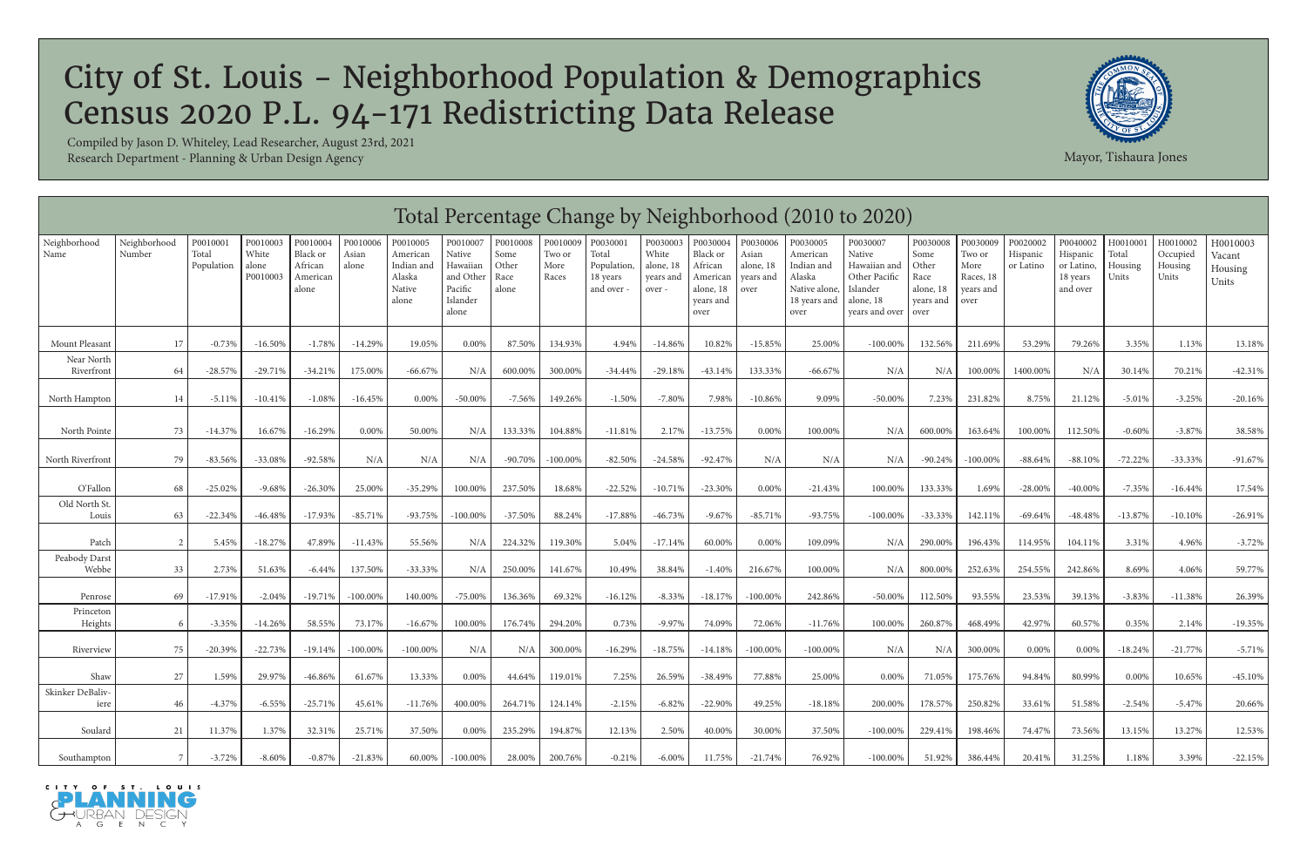|                          |                        |                                 |                                        |                                                      |                            |                                                                 |                                                                             |                                            |                                     |                                                            |                                                       |                                                                               |                                                     |                                                                                       | Total Percentage Change by Neighborhood (2010 to 2020)                                         |                                                                     |                                                              |                                   |                                                            |                                       |                                          |                                        |
|--------------------------|------------------------|---------------------------------|----------------------------------------|------------------------------------------------------|----------------------------|-----------------------------------------------------------------|-----------------------------------------------------------------------------|--------------------------------------------|-------------------------------------|------------------------------------------------------------|-------------------------------------------------------|-------------------------------------------------------------------------------|-----------------------------------------------------|---------------------------------------------------------------------------------------|------------------------------------------------------------------------------------------------|---------------------------------------------------------------------|--------------------------------------------------------------|-----------------------------------|------------------------------------------------------------|---------------------------------------|------------------------------------------|----------------------------------------|
| Neighborhood<br>Name     | Neighborhood<br>Number | P0010001<br>Total<br>Population | P0010003<br>White<br>alone<br>P0010003 | P0010004<br>Black or<br>African<br>American<br>alone | P0010006<br>Asian<br>alone | P0010005<br>American<br>Indian and<br>Alaska<br>Native<br>alone | P0010007<br>Native<br>Hawaiian<br>and Other<br>Pacific<br>Islander<br>alone | P0010008<br>Some<br>Other<br>Race<br>alone | P0010009<br>Two or<br>More<br>Races | P0030001<br>Total<br>Population,<br>18 years<br>and over - | P0030003<br>White<br>alone, 18<br>years and<br>over - | P0030004<br>Black or<br>African<br>American<br>alone, 18<br>years and<br>over | P0030006<br>Asian<br>alone, 18<br>years and<br>over | P0030005<br>American<br>Indian and<br>Alaska<br>Native alone,<br>18 years and<br>over | P0030007<br>Native<br>Hawaiian and<br>Other Pacific<br>Islander<br>alone, 18<br>years and over | P0030008<br>Some<br>Other<br>Race<br>alone, 18<br>vears and<br>over | P0030009<br>Two or<br>More<br>Races, 18<br>years and<br>over | P0020002<br>Hispanic<br>or Latino | P0040002<br>Hispanic<br>or Latino,<br>18 years<br>and over | H0010001<br>Total<br>Housing<br>Units | H0010002<br>Occupied<br>Housing<br>Units | H0010003<br>Vacant<br>Housing<br>Units |
| Mount Pleasant           | 17                     | $-0.73%$                        | $-16.50\%$                             | $-1.78\%$                                            | $-14.29%$                  | 19.05%                                                          | 0.00%                                                                       | 87.50%                                     | 134.93%                             | 4.94%                                                      | $-14.86%$                                             | 10.82%                                                                        | $-15.85%$                                           | 25.00%                                                                                | $-100.00\%$                                                                                    | 132.56%                                                             | 211.69%                                                      | 53.29%                            | 79.26%                                                     | 3.35%                                 | 1.13%                                    | 13.18%                                 |
| Near North<br>Riverfront | 64                     | $-28.57%$                       | $-29.71%$                              | $-34.21%$                                            | 175.00%                    | $-66.67%$                                                       | N/A                                                                         | 600.00%                                    | 300.00%                             | $-34.44%$                                                  | $-29.18%$                                             | $-43.14%$                                                                     | 133.33%                                             | $-66.67%$                                                                             | N/A                                                                                            | N/A                                                                 | 100.00%                                                      | 1400.00%                          | N/A                                                        | 30.14%                                | 70.21%                                   | $-42.31%$                              |
| North Hampton            | 14                     | $-5.11%$                        | $-10.41%$                              | $-1.08%$                                             | $-16.45%$                  | 0.00%                                                           | $-50.00\%$                                                                  | $-7.56%$                                   | 149.26%                             | $-1.50%$                                                   | $-7.80\%$                                             | 7.98%                                                                         | $-10.86%$                                           | 9.09%                                                                                 | $-50.00%$                                                                                      | 7.23%                                                               | 231.82%                                                      | 8.75%                             | 21.12%                                                     | $-5.01%$                              | $-3.25%$                                 | $-20.16%$                              |
| North Pointe             | 73                     | $-14.37%$                       | 16.67%                                 | $-16.29%$                                            | $0.00\%$                   | 50.00%                                                          | N/A                                                                         | 133.33%                                    | 104.88%                             | $-11.81%$                                                  | 2.17%                                                 | $-13.75%$                                                                     | $0.00\%$                                            | 100.00%                                                                               | N/A                                                                                            | 600.00%                                                             | 163.64%                                                      | 100.00%                           | 112.50%                                                    | $-0.60%$                              | $-3.87\%$                                | 38.58%                                 |
| North Riverfront         | 79                     | $-83.56%$                       | $-33.08%$                              | $-92.58%$                                            | N/A                        | N/A                                                             | N/A                                                                         | $-90.70%$                                  | $-100.00\%$                         | $-82.50%$                                                  | $-24.58%$                                             | $-92.47%$                                                                     | N/A                                                 | N/A                                                                                   | N/A                                                                                            | -90.24%                                                             | $-100.00\%$                                                  | $-88.64%$                         | $-88.10%$                                                  | $-72.22%$                             | $-33.33%$                                | $-91.67%$                              |
| O'Fallon                 | 68                     | $-25.02%$                       | $-9.68%$                               | $-26.30%$                                            | 25.00%                     | $-35.29%$                                                       | 100.00%                                                                     | 237.50%                                    | 18.68%                              | $-22.52%$                                                  | $-10.71%$                                             | $-23.30\%$                                                                    | 0.00%                                               | $-21.43%$                                                                             | 100.00%                                                                                        | 133.33%                                                             | 1.69%                                                        | $-28.00\%$                        | $-40.00\%$                                                 | $-7.35%$                              | $-16.44%$                                | 17.54%                                 |
| Old North St.<br>Louis   | 63                     | $-22.34%$                       | $-46.48%$                              | $-17.93%$                                            | $-85.71%$                  | $-93.75%$                                                       | $-100.00\%$                                                                 | $-37.50%$                                  | 88.24%                              | $-17.88%$                                                  | $-46.73%$                                             | $-9.67%$                                                                      | $-85.71%$                                           | $-93.75%$                                                                             | $-100.00\%$                                                                                    | $-33.33\%$                                                          | 142.11%                                                      | $-69.64%$                         | $-48.48%$                                                  | $-13.87%$                             | $-10.10%$                                | $-26.91%$                              |
| Patch                    | 2                      | 5.45%                           | $-18.27%$                              | 47.89%                                               | $-11.43%$                  | 55.56%                                                          | N/A                                                                         | 224.32%                                    | 119.30%                             | 5.04%                                                      | $-17.14%$                                             | 60.00%                                                                        | 0.00%                                               | 109.09%                                                                               | N/A                                                                                            | 290.00%                                                             | 196.43%                                                      | 114.95%                           | 104.11%                                                    | 3.31%                                 | 4.96%                                    | $-3.72%$                               |
| Peabody Darst<br>Webbe   | 33                     | 2.73%                           | 51.63%                                 | $-6.44\%$                                            | 137.50%                    | $-33.33%$                                                       | N/A                                                                         | 250.00%                                    | 141.67%                             | 10.49%                                                     | 38.84%                                                | $-1.40\%$                                                                     | 216.67%                                             | 100.00%                                                                               | N/A                                                                                            | 800.00%                                                             | 252.63%                                                      | 254.55%                           | 242.86%                                                    | 8.69%                                 | 4.06%                                    | 59.77%                                 |
| Penrose                  | 69                     | $-17.91%$                       | $-2.04%$                               | $-19.71%$                                            | $-100.00\%$                | 140.00%                                                         | $-75.00\%$                                                                  | 136.36%                                    | 69.32%                              | $-16.12%$                                                  | $-8.33\%$                                             | $-18.17%$                                                                     | $-100.00\%$                                         | 242.86%                                                                               | $-50.00\%$                                                                                     | 112.50%                                                             | 93.55%                                                       | 23.53%                            | 39.13%                                                     | $-3.83%$                              | $-11.38%$                                | 26.39%                                 |
| Princeton<br>Heights     | - 6                    | $-3.35%$                        | $-14.26%$                              | 58.55%                                               | 73.17%                     | $-16.67%$                                                       | 100.00%                                                                     | 176.74%                                    | 294.20%                             | 0.73%                                                      | $-9.97\%$                                             | 74.09%                                                                        | 72.06%                                              | $-11.76%$                                                                             | 100.00%                                                                                        | 260.87%                                                             | 468.49%                                                      | 42.97%                            | 60.57%                                                     | 0.35%                                 | 2.14%                                    | $-19.35%$                              |
| Riverview                | 75                     | $-20.39%$                       | $-22.73%$                              | $-19.14%$                                            | $-100.00\%$                | $-100.00\%$                                                     | N/A                                                                         | N/A                                        | 300.00%                             | $-16.29%$                                                  | $-18.75%$                                             | $-14.18%$                                                                     | $-100.00\%$                                         | $-100.00\%$                                                                           | N/A                                                                                            | N/A                                                                 | 300.00%                                                      | $0.00\%$                          | $0.00\%$                                                   | $-18.24%$                             | $-21.77%$                                | $-5.71%$                               |
| Shaw                     | 27                     | 1.59%                           | 29.97%                                 | $-46.86%$                                            | 61.67%                     | 13.33%                                                          | $0.00\%$                                                                    | 44.64%                                     | 119.01%                             | 7.25%                                                      | 26.59%                                                | -38.49%                                                                       | 77.88%                                              | 25.00%                                                                                | $0.00\%$                                                                                       | 71.05%                                                              | 175.76%                                                      | 94.84%                            | 80.99%                                                     | $0.00\%$                              | 10.65%                                   | $-45.10%$                              |
| Skinker DeBaliv-<br>iere | 46                     | $-4.37%$                        | $-6.55%$                               | $-25.71%$                                            | 45.61%                     | $-11.76%$                                                       | 400.00%                                                                     | 264.71%                                    | 124.14%                             | $-2.15%$                                                   | $-6.82%$                                              | $-22.90\%$                                                                    | 49.25%                                              | $-18.18%$                                                                             | 200.00%                                                                                        | 178.57%                                                             | 250.82%                                                      | 33.61%                            | 51.58%                                                     | $-2.54%$                              | $-5.47%$                                 | 20.66%                                 |
| Soulard                  | 21                     | 11.37%                          | 1.37%                                  | 32.31%                                               | 25.71%                     | 37.50%                                                          | $0.00\%$                                                                    | 235.29%                                    | 194.87%                             | 12.13%                                                     | 2.50%                                                 | 40.00%                                                                        | 30.00%                                              | 37.50%                                                                                | $-100.00\%$                                                                                    | 229.41%                                                             | 198.46%                                                      | 74.47%                            | 73.56%                                                     | 13.15%                                | 13.27%                                   | 12.53%                                 |
| Southampton              | 7                      | $-3.72%$                        | $-8.60\%$                              | $-0.87%$                                             | $-21.83%$                  | 60.00%                                                          | $-100.00\%$                                                                 | 28.00%                                     | 200.76%                             | $-0.21%$                                                   | $-6.00\%$                                             | 11.75%                                                                        | $-21.74%$                                           | 76.92%                                                                                | $-100.00\%$                                                                                    | 51.92%                                                              | 386.44%                                                      | 20.41%                            | 31.25%                                                     | 1.18%                                 | 3.39%                                    | $-22.15%$                              |





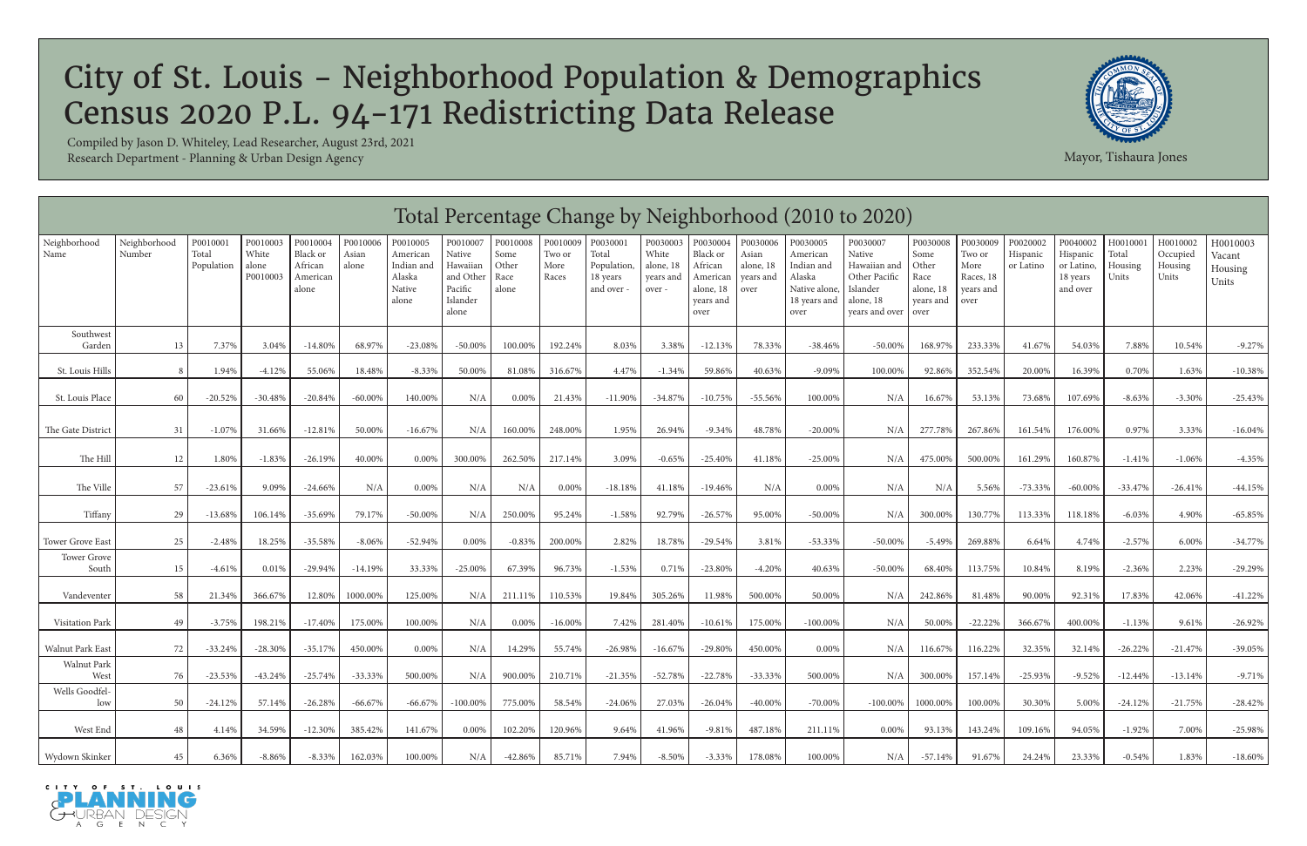|                       | Total Percentage Change by Neighborhood (2010 to 2020)<br>Neighborhood<br>P0010003<br>P0010004<br>P0010008<br>P0010009<br>P0030001<br>P0030003<br>P0030009<br>P0020002<br>P0040002<br>H0010001<br>H0010002<br>P0010001<br>P0010006<br>P0010005<br>P0010007<br>P0030004<br>P0030006<br>P0030005<br>P0030007<br>P0030008<br>H0010003 |                     |                            |                                          |                |                                                     |                                                                 |                                |                         |                                              |                                          |                                                                   |                                         |                                                                           |                                                                                    |                                                         |                                                  |                       |                                                |                           |                              |                            |
|-----------------------|------------------------------------------------------------------------------------------------------------------------------------------------------------------------------------------------------------------------------------------------------------------------------------------------------------------------------------|---------------------|----------------------------|------------------------------------------|----------------|-----------------------------------------------------|-----------------------------------------------------------------|--------------------------------|-------------------------|----------------------------------------------|------------------------------------------|-------------------------------------------------------------------|-----------------------------------------|---------------------------------------------------------------------------|------------------------------------------------------------------------------------|---------------------------------------------------------|--------------------------------------------------|-----------------------|------------------------------------------------|---------------------------|------------------------------|----------------------------|
| Neighborhood<br>Name  | Number                                                                                                                                                                                                                                                                                                                             | Total<br>Population | White<br>alone<br>P0010003 | Black or<br>African<br>American<br>alone | Asian<br>alone | American<br>Indian and<br>Alaska<br>Native<br>alone | Native<br>Hawaiian<br>and Other<br>Pacific<br>Islander<br>alone | Some<br>Other<br>Race<br>alone | Two or<br>More<br>Races | Total<br>Population,<br>18 years<br>and over | White<br>alone, 18<br>years and<br>over- | Black or<br>African<br>American<br>alone, 18<br>years and<br>over | Asian<br>alone, 18<br>years and<br>over | American<br>Indian and<br>Alaska<br>Native alone,<br>18 years and<br>over | Native<br>Hawaiian and<br>Other Pacific<br>Islander<br>alone, 18<br>years and over | Some<br>Other<br>Race<br>alone, 18<br>years and<br>over | Two or<br>More<br>Races, 18<br>vears and<br>over | Hispanic<br>or Latino | Hispanic<br>or Latino,<br>18 years<br>and over | Total<br>Housing<br>Units | Occupied<br>Housing<br>Units | Vacant<br>Housing<br>Units |
| Southwest<br>Garden   | 13                                                                                                                                                                                                                                                                                                                                 | 7.37%               | 3.04%                      | $-14.80\%$                               | 68.97%         | $-23.08%$                                           | $-50.00%$                                                       | 100.00%                        | 192.24%                 | 8.03%                                        | 3.38%                                    | $-12.13%$                                                         | 78.33%                                  | $-38.46%$                                                                 | $-50.00\%$                                                                         | 168.97%                                                 | 233.33%                                          | 41.67%                | 54.03%                                         | 7.88%                     | 10.54%                       | $-9.27%$                   |
| St. Louis Hills       | -8                                                                                                                                                                                                                                                                                                                                 | 1.94%               | $-4.12%$                   | 55.06%                                   | 18.48%         | $-8.33%$                                            | 50.00%                                                          | 81.08%                         | 316.67%                 | 4.47%                                        | $-1.34%$                                 | 59.86%                                                            | 40.63%                                  | $-9.09%$                                                                  | 100.00%                                                                            | 92.86%                                                  | 352.54%                                          | 20.00%                | 16.39%                                         | 0.70%                     | 1.63%                        | $-10.38%$                  |
| St. Louis Place       | 60                                                                                                                                                                                                                                                                                                                                 | $-20.52%$           | $-30.48%$                  | $-20.84%$                                | $-60.00%$      | 140.00%                                             | N/A                                                             | 0.00%                          | 21.43%                  | $-11.90\%$                                   | $-34.87%$                                | $-10.75%$                                                         | $-55.56%$                               | 100.00%                                                                   | N/A                                                                                | 16.67%                                                  | 53.13%                                           | 73.68%                | 107.69%                                        | $-8.63%$                  | $-3.30%$                     | $-25.43\%$                 |
| The Gate District     | 31                                                                                                                                                                                                                                                                                                                                 | -1.07%              | 31.66%                     | $-12.81%$                                | 50.00%         | $-16.67\%$                                          | N/A                                                             | 160.00%                        | 248.00%                 | 1.95%                                        | 26.94%                                   | $-9.34\%$                                                         | 48.78%                                  | $-20.00\%$                                                                | N/A                                                                                | 277.78%                                                 | 267.86%                                          | 161.54%               | 176.00%                                        | 0.97%                     | 3.33%                        | $-16.04\%$                 |
| The Hill              | 12                                                                                                                                                                                                                                                                                                                                 | 1.80%               | $-1.83%$                   | $-26.19%$                                | 40.00%         | $0.00\%$                                            | 300.00%                                                         | 262.50%                        | 217.14%                 | 3.09%                                        | $-0.65%$                                 | $-25.40%$                                                         | 41.18%                                  | $-25.00\%$                                                                | N/A                                                                                | 475.00%                                                 | 500.00%                                          | 161.29%               | 160.87%                                        | $-1.41%$                  | $-1.06%$                     | $-4.35%$                   |
| The Ville             | 57                                                                                                                                                                                                                                                                                                                                 | $-23.61%$           | 9.09%                      | $-24.66%$                                | N/A            | 0.00%                                               | N/A                                                             | N/A                            | $0.00\%$                | $-18.18%$                                    | 41.18%                                   | $-19.46%$                                                         | N/A                                     | 0.00%                                                                     | N/A                                                                                | N/A                                                     | 5.56%                                            | -73.33%               | $-60.00\%$                                     | $-33.47%$                 | $-26.41%$                    | $-44.15%$                  |
| Tiffany               | 29                                                                                                                                                                                                                                                                                                                                 | $-13.68%$           | 106.14%                    | $-35.69%$                                | 79.17%         | $-50.00\%$                                          | N/A                                                             | 250.00%                        | 95.24%                  | $-1.58%$                                     | 92.79%                                   | $-26.57%$                                                         | 95.00%                                  | $-50.00\%$                                                                | N/A                                                                                | 300.00%                                                 | 130.77%                                          | 113.33%               | 118.18%                                        | $-6.03%$                  | 4.90%                        | $-65.85%$                  |
| Tower Grove East      | 25                                                                                                                                                                                                                                                                                                                                 | $-2.48%$            | 18.25%                     | $-35.58%$                                | $-8.06%$       | $-52.94%$                                           | $0.00\%$                                                        | $-0.83%$                       | 200.00%                 | 2.82%                                        | 18.78%                                   | $-29.54%$                                                         | 3.81%                                   | $-53.33%$                                                                 | $-50.00%$                                                                          | $-5.49%$                                                | 269.88%                                          | 6.64%                 | 4.74%                                          | $-2.57%$                  | 6.00%                        | $-34.77\%$                 |
| Tower Grove<br>South  | 15                                                                                                                                                                                                                                                                                                                                 | $-4.61%$            | 0.01%                      | $-29.94\%$                               | $-14.19%$      | 33.33%                                              | $-25.00\%$                                                      | 67.39%                         | 96.73%                  | $-1.53%$                                     | 0.71%                                    | $-23.80%$                                                         | $-4.20%$                                | 40.63%                                                                    | $-50.00%$                                                                          | 68.40%                                                  | 113.75%                                          | 10.84%                | 8.19%                                          | $-2.36%$                  | 2.23%                        | $-29.29%$                  |
| Vandeventer           | 58                                                                                                                                                                                                                                                                                                                                 | 21.34%              | 366.67%                    | 12.80%                                   | 1000.00%       | 125.00%                                             | N/A                                                             | 211.11%                        | 110.53%                 | 19.84%                                       | 305.26%                                  | 11.98%                                                            | 500.00%                                 | 50.00%                                                                    | N/A                                                                                | 242.86%                                                 | 81.48%                                           | 90.00%                | 92.31%                                         | 17.83%                    | 42.06%                       | $-41.22%$                  |
| Visitation Park       | 49                                                                                                                                                                                                                                                                                                                                 | $-3.75\%$           | 198.21%                    | $-17.40%$                                | 175.00%        | 100.00%                                             | N/A                                                             | $0.00\%$                       | $-16.00\%$              | 7.42%                                        | 281.40%                                  | $-10.61%$                                                         | 175.00%                                 | $-100.00\%$                                                               | N/A                                                                                | 50.00%                                                  | $-22.22%$                                        | 366.67%               | 400.00%                                        | $-1.13%$                  | 9.61%                        | $-26.92\%$                 |
| Walnut Park East      | 72                                                                                                                                                                                                                                                                                                                                 | $-33.24%$           | $-28.30%$                  | $-35.17%$                                | 450.00%        | 0.00%                                               | N/A                                                             | 14.29%                         | 55.74%                  | $-26.98%$                                    | $-16.67%$                                | $-29.80%$                                                         | 450.00%                                 | 0.00%                                                                     | N/A                                                                                | 116.67%                                                 | 116.22%                                          | 32.35%                | 32.14%                                         | $-26.22%$                 | $-21.47\%$                   | $-39.05%$                  |
| Walnut Park<br>West   | 76                                                                                                                                                                                                                                                                                                                                 | $-23.53\%$          | $-43.24\%$                 | $-25.74%$                                | $-33.33\%$     | 500.00%                                             | N/A                                                             | 900.00%                        | 210.71%                 | $-21.35%$                                    | $-52.78%$                                | $-22.78%$                                                         | $-33.33\%$                              | 500.00%                                                                   | N/A                                                                                | 300.00%                                                 | 157.14%                                          | $-25.93%$             | $-9.52%$                                       | $-12.44%$                 | $-13.14%$                    | $-9.71%$                   |
| Wells Goodfel-<br>low | 50                                                                                                                                                                                                                                                                                                                                 | $-24.12%$           | 57.14%                     | $-26.28%$                                | $-66.67%$      | $-66.67%$                                           | $-100.00\%$                                                     | 775.00%                        | 58.54%                  | $-24.06%$                                    | 27.03%                                   | $-26.04%$                                                         | $-40.00\%$                              | $-70.00\%$                                                                | $-100.00\%$                                                                        | 1000.00%                                                | 100.00%                                          | 30.30%                | 5.00%                                          | $-24.12%$                 | $-21.75%$                    | $-28.42\%$                 |
| West End              | 48                                                                                                                                                                                                                                                                                                                                 | 4.14%               | 34.59%                     | $-12.30\%$                               | 385.42%        | 141.67%                                             | 0.00%                                                           | 102.20%                        | 120.96%                 | 9.64%                                        | 41.96%                                   | $-9.81%$                                                          | 487.18%                                 | 211.11%                                                                   | $0.00\%$                                                                           | 93.13%                                                  | 143.24%                                          | 109.16%               | 94.05%                                         | $-1.92%$                  | 7.00%                        | $-25.98\%$                 |
| Wydown Skinker        | 45                                                                                                                                                                                                                                                                                                                                 | 6.36%               | $-8.86%$                   | $-8.33\%$                                | 162.03%        | 100.00%                                             | N/A                                                             | -42.86%                        | 85.71%                  | 7.94%                                        | $-8.50\%$                                | $-3.33\%$                                                         | 178.08%                                 | 100.00%                                                                   | N/A                                                                                | $-57.14%$                                               | 91.67%                                           | 24.24%                | 23.33%                                         | $-0.54%$                  | 1.83%                        | $-18.60\%$                 |